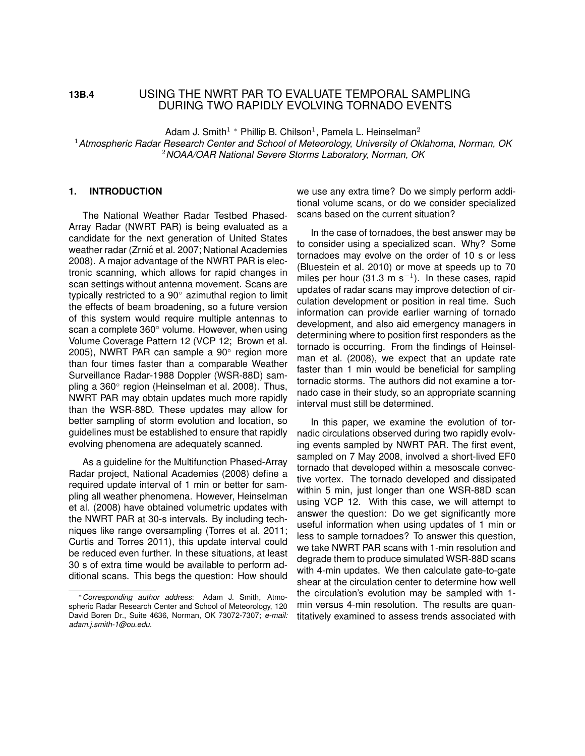# **13B.4** USING THE NWRT PAR TO EVALUATE TEMPORAL SAMPLING DURING TWO RAPIDLY EVOLVING TORNADO EVENTS

Adam J. Smith<sup>1</sup> \* Phillip B. Chilson<sup>1</sup>, Pamela L. Heinselman<sup>2</sup>

<sup>1</sup>*Atmospheric Radar Research Center and School of Meteorology, University of Oklahoma, Norman, OK* <sup>2</sup>*NOAA/OAR National Severe Storms Laboratory, Norman, OK*

#### **1. INTRODUCTION**

The National Weather Radar Testbed Phased-Array Radar (NWRT PAR) is being evaluated as a candidate for the next generation of United States weather radar (Zrnić et al. 2007; National Academies 2008). A major advantage of the NWRT PAR is electronic scanning, which allows for rapid changes in scan settings without antenna movement. Scans are typically restricted to a 90*◦* azimuthal region to limit the effects of beam broadening, so a future version of this system would require multiple antennas to scan a complete 360*◦* volume. However, when using Volume Coverage Pattern 12 (VCP 12; Brown et al. 2005), NWRT PAR can sample a 90*◦* region more than four times faster than a comparable Weather Surveillance Radar-1988 Doppler (WSR-88D) sampling a 360*◦* region (Heinselman et al. 2008). Thus, NWRT PAR may obtain updates much more rapidly than the WSR-88D. These updates may allow for better sampling of storm evolution and location, so guidelines must be established to ensure that rapidly evolving phenomena are adequately scanned.

As a guideline for the Multifunction Phased-Array Radar project, National Academies (2008) define a required update interval of 1 min or better for sampling all weather phenomena. However, Heinselman et al. (2008) have obtained volumetric updates with the NWRT PAR at 30-s intervals. By including techniques like range oversampling (Torres et al. 2011; Curtis and Torres 2011), this update interval could be reduced even further. In these situations, at least 30 s of extra time would be available to perform additional scans. This begs the question: How should we use any extra time? Do we simply perform additional volume scans, or do we consider specialized scans based on the current situation?

In the case of tornadoes, the best answer may be to consider using a specialized scan. Why? Some tornadoes may evolve on the order of 10 s or less (Bluestein et al. 2010) or move at speeds up to 70 miles per hour (31.3 m s*−*<sup>1</sup> ). In these cases, rapid updates of radar scans may improve detection of circulation development or position in real time. Such information can provide earlier warning of tornado development, and also aid emergency managers in determining where to position first responders as the tornado is occurring. From the findings of Heinselman et al. (2008), we expect that an update rate faster than 1 min would be beneficial for sampling tornadic storms. The authors did not examine a tornado case in their study, so an appropriate scanning interval must still be determined.

In this paper, we examine the evolution of tornadic circulations observed during two rapidly evolving events sampled by NWRT PAR. The first event, sampled on 7 May 2008, involved a short-lived EF0 tornado that developed within a mesoscale convective vortex. The tornado developed and dissipated within 5 min, just longer than one WSR-88D scan using VCP 12. With this case, we will attempt to answer the question: Do we get significantly more useful information when using updates of 1 min or less to sample tornadoes? To answer this question, we take NWRT PAR scans with 1-min resolution and degrade them to produce simulated WSR-88D scans with 4-min updates. We then calculate gate-to-gate shear at the circulation center to determine how well the circulation's evolution may be sampled with 1 min versus 4-min resolution. The results are quantitatively examined to assess trends associated with

*<sup>∗</sup>Corresponding author address*: Adam J. Smith, Atmospheric Radar Research Center and School of Meteorology, 120 David Boren Dr., Suite 4636, Norman, OK 73072-7307; *e-mail: adam.j.smith-1@ou.edu.*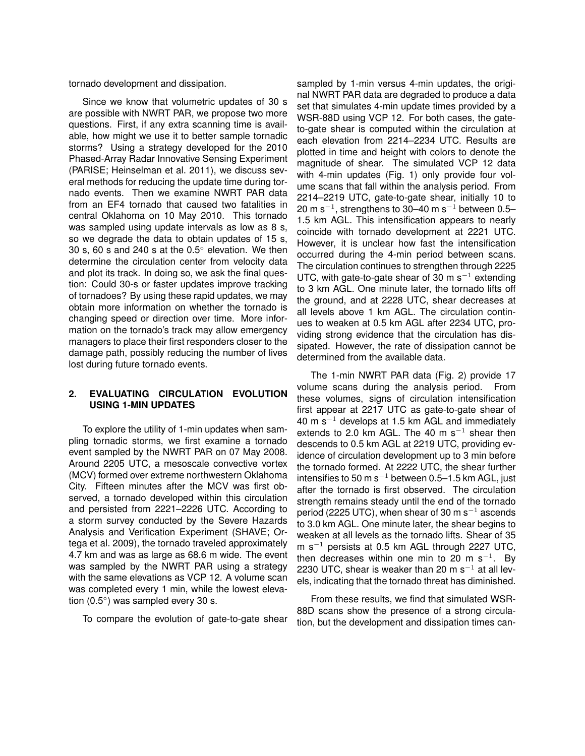tornado development and dissipation.

Since we know that volumetric updates of 30 s are possible with NWRT PAR, we propose two more questions. First, if any extra scanning time is available, how might we use it to better sample tornadic storms? Using a strategy developed for the 2010 Phased-Array Radar Innovative Sensing Experiment (PARISE; Heinselman et al. 2011), we discuss several methods for reducing the update time during tornado events. Then we examine NWRT PAR data from an EF4 tornado that caused two fatalities in central Oklahoma on 10 May 2010. This tornado was sampled using update intervals as low as 8 s, so we degrade the data to obtain updates of 15 s, 30 s, 60 s and 240 s at the 0.5*◦* elevation. We then determine the circulation center from velocity data and plot its track. In doing so, we ask the final question: Could 30-s or faster updates improve tracking of tornadoes? By using these rapid updates, we may obtain more information on whether the tornado is changing speed or direction over time. More information on the tornado's track may allow emergency managers to place their first responders closer to the damage path, possibly reducing the number of lives lost during future tornado events.

### **2. EVALUATING CIRCULATION EVOLUTION USING 1-MIN UPDATES**

To explore the utility of 1-min updates when sampling tornadic storms, we first examine a tornado event sampled by the NWRT PAR on 07 May 2008. Around 2205 UTC, a mesoscale convective vortex (MCV) formed over extreme northwestern Oklahoma City. Fifteen minutes after the MCV was first observed, a tornado developed within this circulation and persisted from 2221–2226 UTC. According to a storm survey conducted by the Severe Hazards Analysis and Verification Experiment (SHAVE; Ortega et al. 2009), the tornado traveled approximately 4.7 km and was as large as 68.6 m wide. The event was sampled by the NWRT PAR using a strategy with the same elevations as VCP 12. A volume scan was completed every 1 min, while the lowest elevation (0.5*◦* ) was sampled every 30 s.

To compare the evolution of gate-to-gate shear

sampled by 1-min versus 4-min updates, the original NWRT PAR data are degraded to produce a data set that simulates 4-min update times provided by a WSR-88D using VCP 12. For both cases, the gateto-gate shear is computed within the circulation at each elevation from 2214–2234 UTC. Results are plotted in time and height with colors to denote the magnitude of shear. The simulated VCP 12 data with 4-min updates (Fig. 1) only provide four volume scans that fall within the analysis period. From 2214–2219 UTC, gate-to-gate shear, initially 10 to 20 m s*−*<sup>1</sup> , strengthens to 30–40 m s*−*<sup>1</sup> between 0.5– 1.5 km AGL. This intensification appears to nearly coincide with tornado development at 2221 UTC. However, it is unclear how fast the intensification occurred during the 4-min period between scans. The circulation continues to strengthen through 2225 UTC, with gate-to-gate shear of 30 m s*−*<sup>1</sup> extending to 3 km AGL. One minute later, the tornado lifts off the ground, and at 2228 UTC, shear decreases at all levels above 1 km AGL. The circulation continues to weaken at 0.5 km AGL after 2234 UTC, providing strong evidence that the circulation has dissipated. However, the rate of dissipation cannot be determined from the available data.

The 1-min NWRT PAR data (Fig. 2) provide 17 volume scans during the analysis period. From these volumes, signs of circulation intensification first appear at 2217 UTC as gate-to-gate shear of 40 m s*−*<sup>1</sup> develops at 1.5 km AGL and immediately extends to 2.0 km AGL. The 40 m s*−*<sup>1</sup> shear then descends to 0.5 km AGL at 2219 UTC, providing evidence of circulation development up to 3 min before the tornado formed. At 2222 UTC, the shear further intensifies to 50 m s*−*<sup>1</sup> between 0.5–1.5 km AGL, just after the tornado is first observed. The circulation strength remains steady until the end of the tornado period (2225 UTC), when shear of 30 m s*−*<sup>1</sup> ascends to 3.0 km AGL. One minute later, the shear begins to weaken at all levels as the tornado lifts. Shear of 35 m s*−*<sup>1</sup> persists at 0.5 km AGL through 2227 UTC, then decreases within one min to 20 m s*−*<sup>1</sup> . By 2230 UTC, shear is weaker than 20 m s*−*<sup>1</sup> at all levels, indicating that the tornado threat has diminished.

From these results, we find that simulated WSR-88D scans show the presence of a strong circulation, but the development and dissipation times can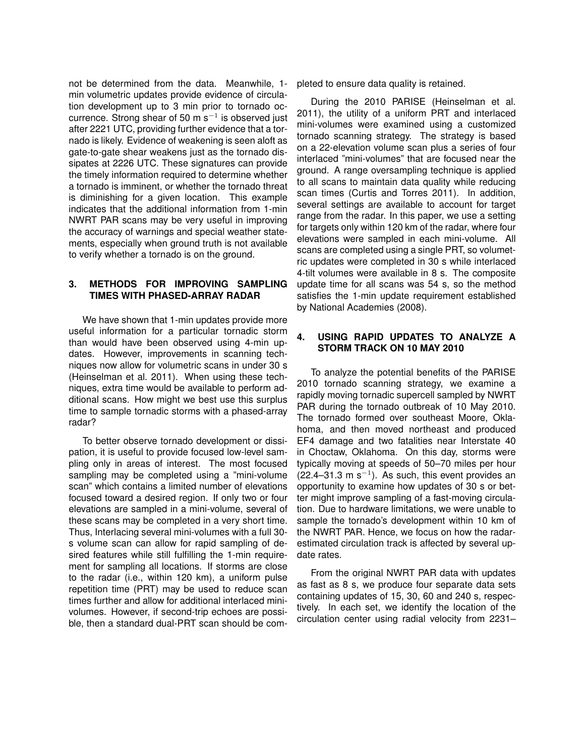not be determined from the data. Meanwhile, 1 min volumetric updates provide evidence of circulation development up to 3 min prior to tornado occurrence. Strong shear of 50 m s*−*<sup>1</sup> is observed just after 2221 UTC, providing further evidence that a tornado is likely. Evidence of weakening is seen aloft as gate-to-gate shear weakens just as the tornado dissipates at 2226 UTC. These signatures can provide the timely information required to determine whether a tornado is imminent, or whether the tornado threat is diminishing for a given location. This example indicates that the additional information from 1-min NWRT PAR scans may be very useful in improving the accuracy of warnings and special weather statements, especially when ground truth is not available to verify whether a tornado is on the ground.

## **3. METHODS FOR IMPROVING SAMPLING TIMES WITH PHASED-ARRAY RADAR**

We have shown that 1-min updates provide more useful information for a particular tornadic storm than would have been observed using 4-min updates. However, improvements in scanning techniques now allow for volumetric scans in under 30 s (Heinselman et al. 2011). When using these techniques, extra time would be available to perform additional scans. How might we best use this surplus time to sample tornadic storms with a phased-array radar?

To better observe tornado development or dissipation, it is useful to provide focused low-level sampling only in areas of interest. The most focused sampling may be completed using a "mini-volume scan" which contains a limited number of elevations focused toward a desired region. If only two or four elevations are sampled in a mini-volume, several of these scans may be completed in a very short time. Thus, Interlacing several mini-volumes with a full 30 s volume scan can allow for rapid sampling of desired features while still fulfilling the 1-min requirement for sampling all locations. If storms are close to the radar (i.e., within 120 km), a uniform pulse repetition time (PRT) may be used to reduce scan times further and allow for additional interlaced minivolumes. However, if second-trip echoes are possible, then a standard dual-PRT scan should be completed to ensure data quality is retained.

During the 2010 PARISE (Heinselman et al. 2011), the utility of a uniform PRT and interlaced mini-volumes were examined using a customized tornado scanning strategy. The strategy is based on a 22-elevation volume scan plus a series of four interlaced "mini-volumes" that are focused near the ground. A range oversampling technique is applied to all scans to maintain data quality while reducing scan times (Curtis and Torres 2011). In addition, several settings are available to account for target range from the radar. In this paper, we use a setting for targets only within 120 km of the radar, where four elevations were sampled in each mini-volume. All scans are completed using a single PRT, so volumetric updates were completed in 30 s while interlaced 4-tilt volumes were available in 8 s. The composite update time for all scans was 54 s, so the method satisfies the 1-min update requirement established by National Academies (2008).

# **4. USING RAPID UPDATES TO ANALYZE A STORM TRACK ON 10 MAY 2010**

To analyze the potential benefits of the PARISE 2010 tornado scanning strategy, we examine a rapidly moving tornadic supercell sampled by NWRT PAR during the tornado outbreak of 10 May 2010. The tornado formed over southeast Moore, Oklahoma, and then moved northeast and produced EF4 damage and two fatalities near Interstate 40 in Choctaw, Oklahoma. On this day, storms were typically moving at speeds of 50–70 miles per hour (22.4–31.3 m s*−*<sup>1</sup> ). As such, this event provides an opportunity to examine how updates of 30 s or better might improve sampling of a fast-moving circulation. Due to hardware limitations, we were unable to sample the tornado's development within 10 km of the NWRT PAR. Hence, we focus on how the radarestimated circulation track is affected by several update rates.

From the original NWRT PAR data with updates as fast as 8 s, we produce four separate data sets containing updates of 15, 30, 60 and 240 s, respectively. In each set, we identify the location of the circulation center using radial velocity from 2231–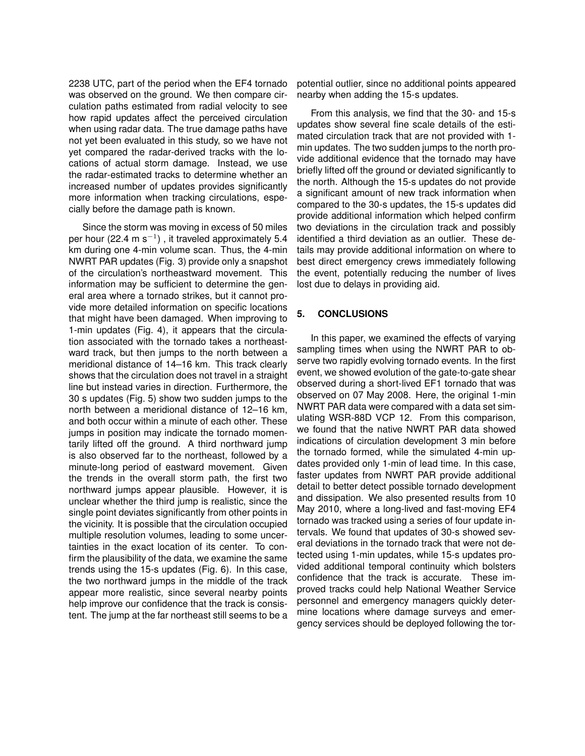2238 UTC, part of the period when the EF4 tornado was observed on the ground. We then compare circulation paths estimated from radial velocity to see how rapid updates affect the perceived circulation when using radar data. The true damage paths have not yet been evaluated in this study, so we have not yet compared the radar-derived tracks with the locations of actual storm damage. Instead, we use the radar-estimated tracks to determine whether an increased number of updates provides significantly more information when tracking circulations, especially before the damage path is known.

Since the storm was moving in excess of 50 miles per hour (22.4 m s*−*<sup>1</sup> ) , it traveled approximately 5.4 km during one 4-min volume scan. Thus, the 4-min NWRT PAR updates (Fig. 3) provide only a snapshot of the circulation's northeastward movement. This information may be sufficient to determine the general area where a tornado strikes, but it cannot provide more detailed information on specific locations that might have been damaged. When improving to 1-min updates (Fig. 4), it appears that the circulation associated with the tornado takes a northeastward track, but then jumps to the north between a meridional distance of 14–16 km. This track clearly shows that the circulation does not travel in a straight line but instead varies in direction. Furthermore, the 30 s updates (Fig. 5) show two sudden jumps to the north between a meridional distance of 12–16 km, and both occur within a minute of each other. These jumps in position may indicate the tornado momentarily lifted off the ground. A third northward jump is also observed far to the northeast, followed by a minute-long period of eastward movement. Given the trends in the overall storm path, the first two northward jumps appear plausible. However, it is unclear whether the third jump is realistic, since the single point deviates significantly from other points in the vicinity. It is possible that the circulation occupied multiple resolution volumes, leading to some uncertainties in the exact location of its center. To confirm the plausibility of the data, we examine the same trends using the 15-s updates (Fig. 6). In this case, the two northward jumps in the middle of the track appear more realistic, since several nearby points help improve our confidence that the track is consistent. The jump at the far northeast still seems to be a potential outlier, since no additional points appeared nearby when adding the 15-s updates.

From this analysis, we find that the 30- and 15-s updates show several fine scale details of the estimated circulation track that are not provided with 1 min updates. The two sudden jumps to the north provide additional evidence that the tornado may have briefly lifted off the ground or deviated significantly to the north. Although the 15-s updates do not provide a significant amount of new track information when compared to the 30-s updates, the 15-s updates did provide additional information which helped confirm two deviations in the circulation track and possibly identified a third deviation as an outlier. These details may provide additional information on where to best direct emergency crews immediately following the event, potentially reducing the number of lives lost due to delays in providing aid.

## **5. CONCLUSIONS**

In this paper, we examined the effects of varying sampling times when using the NWRT PAR to observe two rapidly evolving tornado events. In the first event, we showed evolution of the gate-to-gate shear observed during a short-lived EF1 tornado that was observed on 07 May 2008. Here, the original 1-min NWRT PAR data were compared with a data set simulating WSR-88D VCP 12. From this comparison, we found that the native NWRT PAR data showed indications of circulation development 3 min before the tornado formed, while the simulated 4-min updates provided only 1-min of lead time. In this case, faster updates from NWRT PAR provide additional detail to better detect possible tornado development and dissipation. We also presented results from 10 May 2010, where a long-lived and fast-moving EF4 tornado was tracked using a series of four update intervals. We found that updates of 30-s showed several deviations in the tornado track that were not detected using 1-min updates, while 15-s updates provided additional temporal continuity which bolsters confidence that the track is accurate. These improved tracks could help National Weather Service personnel and emergency managers quickly determine locations where damage surveys and emergency services should be deployed following the tor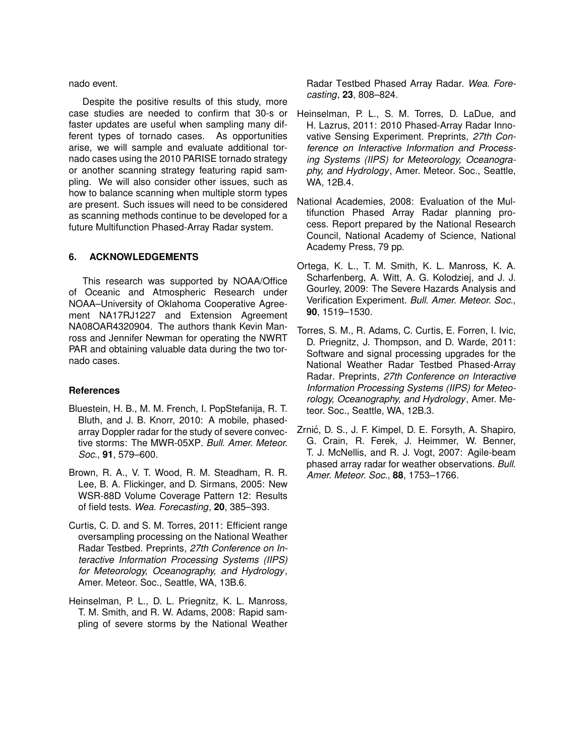nado event.

Despite the positive results of this study, more case studies are needed to confirm that 30-s or faster updates are useful when sampling many different types of tornado cases. As opportunities arise, we will sample and evaluate additional tornado cases using the 2010 PARISE tornado strategy or another scanning strategy featuring rapid sampling. We will also consider other issues, such as how to balance scanning when multiple storm types are present. Such issues will need to be considered as scanning methods continue to be developed for a future Multifunction Phased-Array Radar system.

### **6. ACKNOWLEDGEMENTS**

This research was supported by NOAA/Office of Oceanic and Atmospheric Research under NOAA–University of Oklahoma Cooperative Agreement NA17RJ1227 and Extension Agreement NA08OAR4320904. The authors thank Kevin Manross and Jennifer Newman for operating the NWRT PAR and obtaining valuable data during the two tornado cases.

#### **References**

- Bluestein, H. B., M. M. French, I. PopStefanija, R. T. Bluth, and J. B. Knorr, 2010: A mobile, phasedarray Doppler radar for the study of severe convective storms: The MWR-05XP. *Bull. Amer. Meteor. Soc.*, **91**, 579–600.
- Brown, R. A., V. T. Wood, R. M. Steadham, R. R. Lee, B. A. Flickinger, and D. Sirmans, 2005: New WSR-88D Volume Coverage Pattern 12: Results of field tests. *Wea. Forecasting*, **20**, 385–393.
- Curtis, C. D. and S. M. Torres, 2011: Efficient range oversampling processing on the National Weather Radar Testbed. Preprints*, 27th Conference on Interactive Information Processing Systems (IIPS) for Meteorology, Oceanography, and Hydrology*, Amer. Meteor. Soc., Seattle, WA, 13B.6.
- Heinselman, P. L., D. L. Priegnitz, K. L. Manross, T. M. Smith, and R. W. Adams, 2008: Rapid sampling of severe storms by the National Weather

Radar Testbed Phased Array Radar. *Wea. Forecasting*, **23**, 808–824.

- Heinselman, P. L., S. M. Torres, D. LaDue, and H. Lazrus, 2011: 2010 Phased-Array Radar Innovative Sensing Experiment. Preprints*, 27th Conference on Interactive Information and Processing Systems (IIPS) for Meteorology, Oceanography, and Hydrology*, Amer. Meteor. Soc., Seattle, WA, 12B.4.
- National Academies, 2008: Evaluation of the Multifunction Phased Array Radar planning process. Report prepared by the National Research Council, National Academy of Science, National Academy Press, 79 pp.
- Ortega, K. L., T. M. Smith, K. L. Manross, K. A. Scharfenberg, A. Witt, A. G. Kolodziej, and J. J. Gourley, 2009: The Severe Hazards Analysis and Verification Experiment. *Bull. Amer. Meteor. Soc.*, **90**, 1519–1530.
- Torres, S. M., R. Adams, C. Curtis, E. Forren, I. Ivic, D. Priegnitz, J. Thompson, and D. Warde, 2011: Software and signal processing upgrades for the National Weather Radar Testbed Phased-Array Radar. Preprints*, 27th Conference on Interactive Information Processing Systems (IIPS) for Meteorology, Oceanography, and Hydrology*, Amer. Meteor. Soc., Seattle, WA, 12B.3.
- Zrnić, D. S., J. F. Kimpel, D. E. Forsyth, A. Shapiro, G. Crain, R. Ferek, J. Heimmer, W. Benner, T. J. McNellis, and R. J. Vogt, 2007: Agile-beam phased array radar for weather observations. *Bull. Amer. Meteor. Soc.*, **88**, 1753–1766.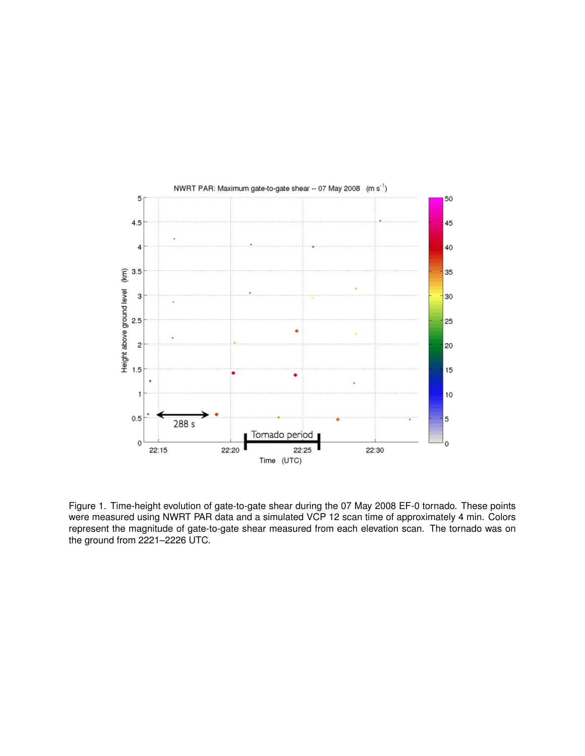

Figure 1. Time-height evolution of gate-to-gate shear during the 07 May 2008 EF-0 tornado. These points were measured using NWRT PAR data and a simulated VCP 12 scan time of approximately 4 min. Colors represent the magnitude of gate-to-gate shear measured from each elevation scan. The tornado was on the ground from 2221–2226 UTC.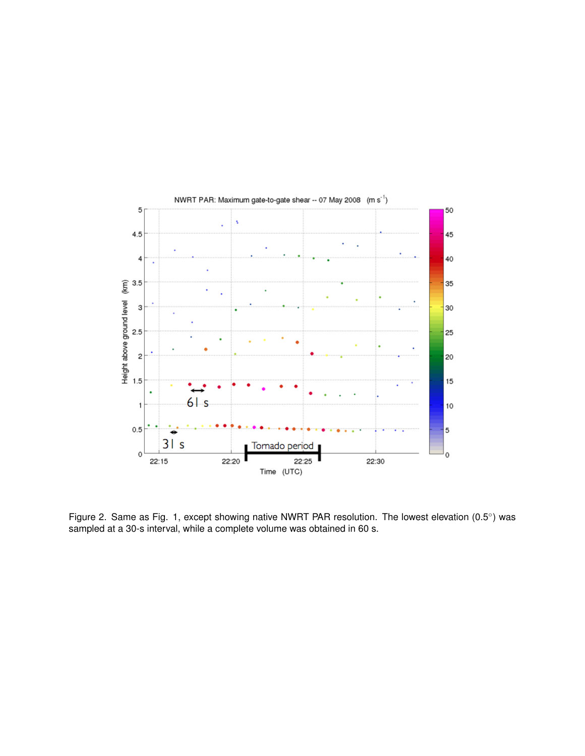

Figure 2. Same as Fig. 1, except showing native NWRT PAR resolution. The lowest elevation (0.5*◦* ) was sampled at a 30-s interval, while a complete volume was obtained in 60 s.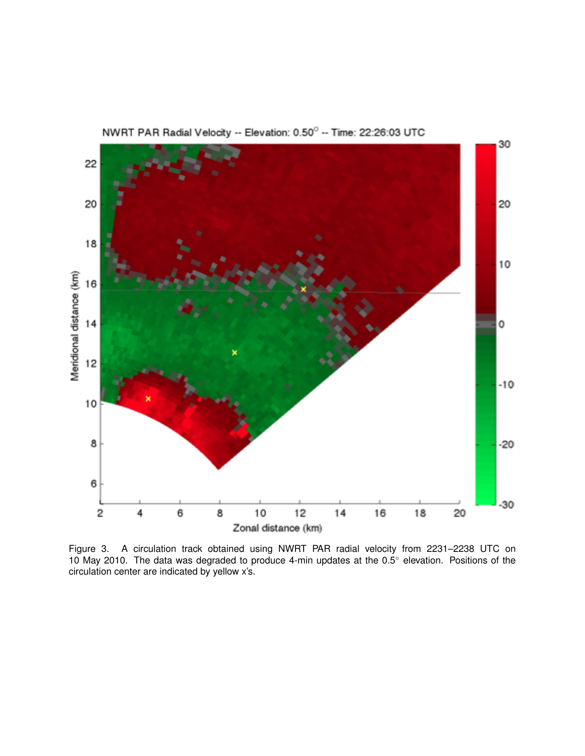NWRT PAR Radial Velocity -- Elevation: 0.50° -- Time: 22:26:03 UTC



Figure 3. A circulation track obtained using NWRT PAR radial velocity from 2231–2238 UTC on 10 May 2010. The data was degraded to produce 4-min updates at the 0.5*◦* elevation. Positions of the circulation center are indicated by yellow x's.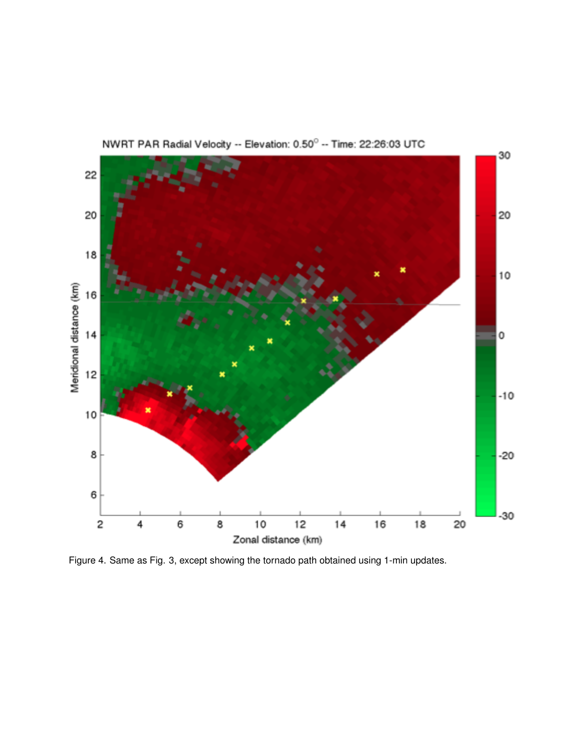

NWRT PAR Radial Velocity -- Elevation: 0.50° -- Time: 22:26:03 UTC

Figure 4. Same as Fig. 3, except showing the tornado path obtained using 1-min updates.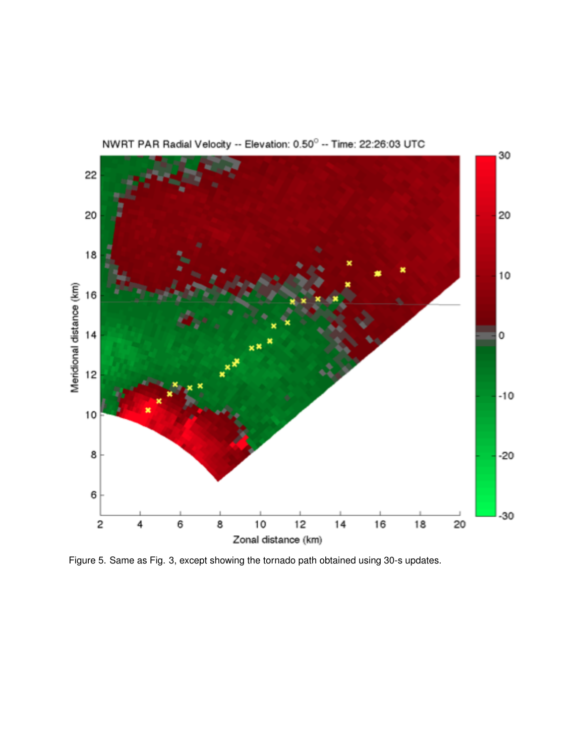

NWRT PAR Radial Velocity -- Elevation: 0.50° -- Time: 22:26:03 UTC

Figure 5. Same as Fig. 3, except showing the tornado path obtained using 30-s updates.